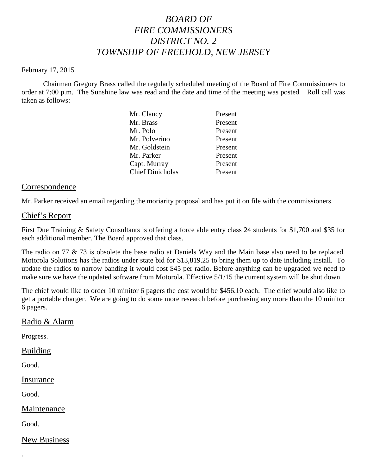## *BOARD OF FIRE COMMISSIONERS DISTRICT NO. 2 TOWNSHIP OF FREEHOLD, NEW JERSEY*

#### February 17, 2015

Chairman Gregory Brass called the regularly scheduled meeting of the Board of Fire Commissioners to order at 7:00 p.m. The Sunshine law was read and the date and time of the meeting was posted. Roll call was taken as follows:

| Present |
|---------|
| Present |
| Present |
| Present |
| Present |
| Present |
| Present |
| Present |
|         |

### Correspondence

Mr. Parker received an email regarding the moriarity proposal and has put it on file with the commissioners.

### Chief's Report

First Due Training & Safety Consultants is offering a force able entry class 24 students for \$1,700 and \$35 for each additional member. The Board approved that class.

The radio on 77 & 73 is obsolete the base radio at Daniels Way and the Main base also need to be replaced. Motorola Solutions has the radios under state bid for \$13,819.25 to bring them up to date including install. To update the radios to narrow banding it would cost \$45 per radio. Before anything can be upgraded we need to make sure we have the updated software from Motorola. Effective 5/1/15 the current system will be shut down.

The chief would like to order 10 minitor 6 pagers the cost would be \$456.10 each. The chief would also like to get a portable charger. We are going to do some more research before purchasing any more than the 10 minitor 6 pagers.

### Radio & Alarm

Progress.

### Building

Good.

Insurance

Good.

Maintenance

Good.

.

New Business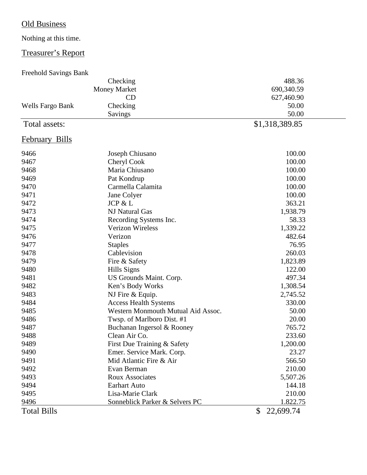# Old Business

# Nothing at this time.

## Treasurer's Report

## Freehold Savings Bank

|                  | Checking                           | 488.36                    |
|------------------|------------------------------------|---------------------------|
|                  | <b>Money Market</b>                | 690,340.59                |
|                  | CD                                 | 627,460.90                |
| Wells Fargo Bank | Checking                           | 50.00                     |
|                  | Savings                            | 50.00                     |
| Total assets:    |                                    | \$1,318,389.85            |
| February Bills   |                                    |                           |
| 9466             | Joseph Chiusano                    | 100.00                    |
| 9467             | Cheryl Cook                        | 100.00                    |
| 9468             | Maria Chiusano                     | 100.00                    |
| 9469             | Pat Kondrup                        | 100.00                    |
| 9470             | Carmella Calamita                  | 100.00                    |
| 9471             | Jane Colyer                        | 100.00                    |
| 9472             | JCP & L                            | 363.21                    |
| 9473             | NJ Natural Gas                     | 1,938.79                  |
| 9474             | Recording Systems Inc.             | 58.33                     |
| 9475             | <b>Verizon Wireless</b>            | 1,339.22                  |
| 9476             | Verizon                            | 482.64                    |
| 9477             | <b>Staples</b>                     | 76.95                     |
| 9478             | Cablevision                        | 260.03                    |
| 9479             | Fire & Safety                      | 1,823.89                  |
| 9480             | Hills Signs                        | 122.00                    |
| 9481             | US Grounds Maint. Corp.            | 497.34                    |
| 9482             | Ken's Body Works                   | 1,308.54                  |
| 9483             | NJ Fire & Equip.                   | 2,745.52                  |
| 9484             | <b>Access Health Systems</b>       | 330.00                    |
| 9485             | Western Monmouth Mutual Aid Assoc. | 50.00                     |
| 9486             | Twsp. of Marlboro Dist. #1         | 20.00                     |
| 9487             | Buchanan Ingersol & Rooney         | 765.72                    |
| 9488             | Clean Air Co.                      | 233.60                    |
| 9489             | First Due Training & Safety        | 1,200.00                  |
| 9490             | Emer. Service Mark. Corp.          | 23.27                     |
| 9491             | Mid Atlantic Fire & Air            | 566.50                    |
| 9492             | Evan Berman                        | 210.00                    |
| 9493             | <b>Roux Associates</b>             | 5,507.26                  |
| 9494             | <b>Earhart Auto</b>                | 144.18                    |
| 9495             | Lisa-Marie Clark                   | 210.00                    |
| 9496             | Sonneblick Parker & Selvers PC     | 1.822.75                  |
| Total Bills      |                                    | $\mathbb{S}$<br>22,699.74 |